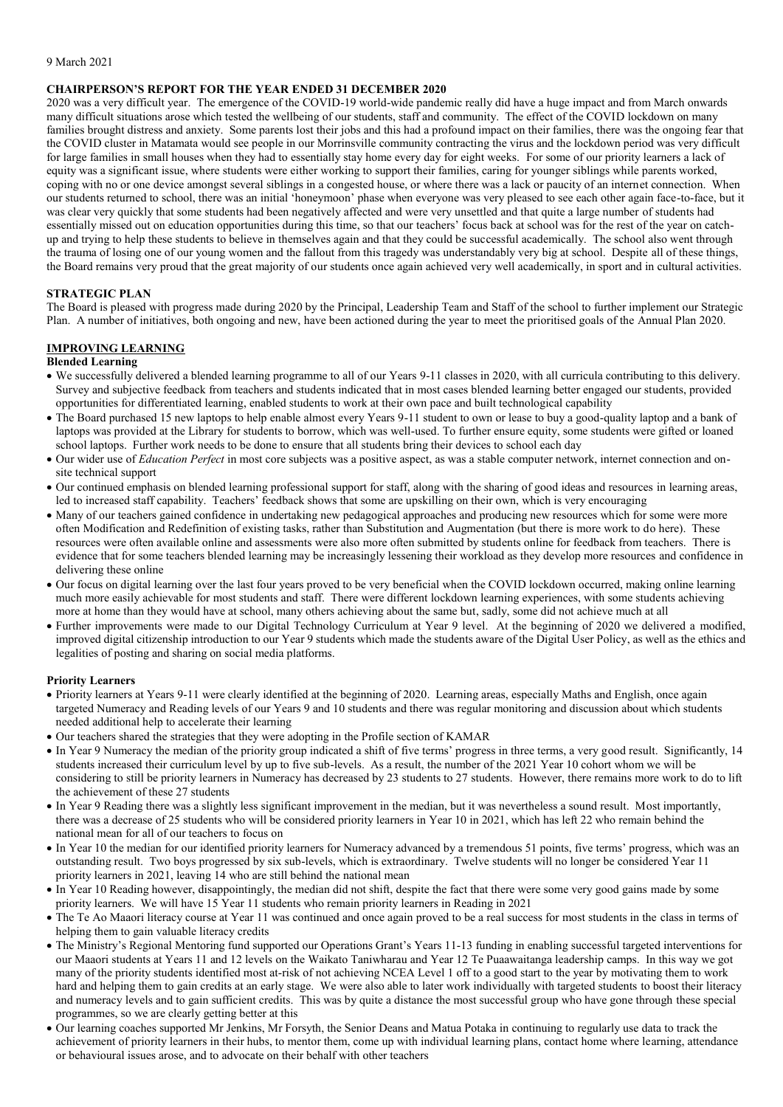#### 9 March 2021

#### **CHAIRPERSON'S REPORT FOR THE YEAR ENDED 31 DECEMBER 2020**

2020 was a very difficult year. The emergence of the COVID-19 world-wide pandemic really did have a huge impact and from March onwards many difficult situations arose which tested the wellbeing of our students, staff and community. The effect of the COVID lockdown on many families brought distress and anxiety. Some parents lost their jobs and this had a profound impact on their families, there was the ongoing fear that the COVID cluster in Matamata would see people in our Morrinsville community contracting the virus and the lockdown period was very difficult for large families in small houses when they had to essentially stay home every day for eight weeks. For some of our priority learners a lack of equity was a significant issue, where students were either working to support their families, caring for younger siblings while parents worked, coping with no or one device amongst several siblings in a congested house, or where there was a lack or paucity of an internet connection. When our students returned to school, there was an initial 'honeymoon' phase when everyone was very pleased to see each other again face-to-face, but it was clear very quickly that some students had been negatively affected and were very unsettled and that quite a large number of students had essentially missed out on education opportunities during this time, so that our teachers' focus back at school was for the rest of the year on catchup and trying to help these students to believe in themselves again and that they could be successful academically. The school also went through the trauma of losing one of our young women and the fallout from this tragedy was understandably very big at school. Despite all of these things, the Board remains very proud that the great majority of our students once again achieved very well academically, in sport and in cultural activities.

#### **STRATEGIC PLAN**

The Board is pleased with progress made during 2020 by the Principal, Leadership Team and Staff of the school to further implement our Strategic Plan. A number of initiatives, both ongoing and new, have been actioned during the year to meet the prioritised goals of the Annual Plan 2020.

## **IMPROVING LEARNING**

### **Blended Learning**

- We successfully delivered a blended learning programme to all of our Years 9-11 classes in 2020, with all curricula contributing to this delivery. Survey and subjective feedback from teachers and students indicated that in most cases blended learning better engaged our students, provided opportunities for differentiated learning, enabled students to work at their own pace and built technological capability
- The Board purchased 15 new laptops to help enable almost every Years 9-11 student to own or lease to buy a good-quality laptop and a bank of laptops was provided at the Library for students to borrow, which was well-used. To further ensure equity, some students were gifted or loaned school laptops. Further work needs to be done to ensure that all students bring their devices to school each day
- Our wider use of *Education Perfect* in most core subjects was a positive aspect, as was a stable computer network, internet connection and onsite technical support
- Our continued emphasis on blended learning professional support for staff, along with the sharing of good ideas and resources in learning areas, led to increased staff capability. Teachers' feedback shows that some are upskilling on their own, which is very encouraging
- Many of our teachers gained confidence in undertaking new pedagogical approaches and producing new resources which for some were more often Modification and Redefinition of existing tasks, rather than Substitution and Augmentation (but there is more work to do here). These resources were often available online and assessments were also more often submitted by students online for feedback from teachers. There is evidence that for some teachers blended learning may be increasingly lessening their workload as they develop more resources and confidence in delivering these online
- Our focus on digital learning over the last four years proved to be very beneficial when the COVID lockdown occurred, making online learning much more easily achievable for most students and staff. There were different lockdown learning experiences, with some students achieving more at home than they would have at school, many others achieving about the same but, sadly, some did not achieve much at all
- Further improvements were made to our Digital Technology Curriculum at Year 9 level. At the beginning of 2020 we delivered a modified, improved digital citizenship introduction to our Year 9 students which made the students aware of the Digital User Policy, as well as the ethics and legalities of posting and sharing on social media platforms.

#### **Priority Learners**

- Priority learners at Years 9-11 were clearly identified at the beginning of 2020. Learning areas, especially Maths and English, once again targeted Numeracy and Reading levels of our Years 9 and 10 students and there was regular monitoring and discussion about which students needed additional help to accelerate their learning
- Our teachers shared the strategies that they were adopting in the Profile section of KAMAR
- In Year 9 Numeracy the median of the priority group indicated a shift of five terms' progress in three terms, a very good result. Significantly, 14 students increased their curriculum level by up to five sub-levels. As a result, the number of the 2021 Year 10 cohort whom we will be considering to still be priority learners in Numeracy has decreased by 23 students to 27 students. However, there remains more work to do to lift the achievement of these 27 students
- In Year 9 Reading there was a slightly less significant improvement in the median, but it was nevertheless a sound result. Most importantly, there was a decrease of 25 students who will be considered priority learners in Year 10 in 2021, which has left 22 who remain behind the national mean for all of our teachers to focus on
- In Year 10 the median for our identified priority learners for Numeracy advanced by a tremendous 51 points, five terms' progress, which was an outstanding result. Two boys progressed by six sub-levels, which is extraordinary. Twelve students will no longer be considered Year 11 priority learners in 2021, leaving 14 who are still behind the national mean
- In Year 10 Reading however, disappointingly, the median did not shift, despite the fact that there were some very good gains made by some priority learners. We will have 15 Year 11 students who remain priority learners in Reading in 2021
- The Te Ao Maaori literacy course at Year 11 was continued and once again proved to be a real success for most students in the class in terms of helping them to gain valuable literacy credits
- The Ministry's Regional Mentoring fund supported our Operations Grant's Years 11-13 funding in enabling successful targeted interventions for our Maaori students at Years 11 and 12 levels on the Waikato Taniwharau and Year 12 Te Puaawaitanga leadership camps. In this way we got many of the priority students identified most at-risk of not achieving NCEA Level 1 off to a good start to the year by motivating them to work hard and helping them to gain credits at an early stage. We were also able to later work individually with targeted students to boost their literacy and numeracy levels and to gain sufficient credits. This was by quite a distance the most successful group who have gone through these special programmes, so we are clearly getting better at this
- Our learning coaches supported Mr Jenkins, Mr Forsyth, the Senior Deans and Matua Potaka in continuing to regularly use data to track the achievement of priority learners in their hubs, to mentor them, come up with individual learning plans, contact home where learning, attendance or behavioural issues arose, and to advocate on their behalf with other teachers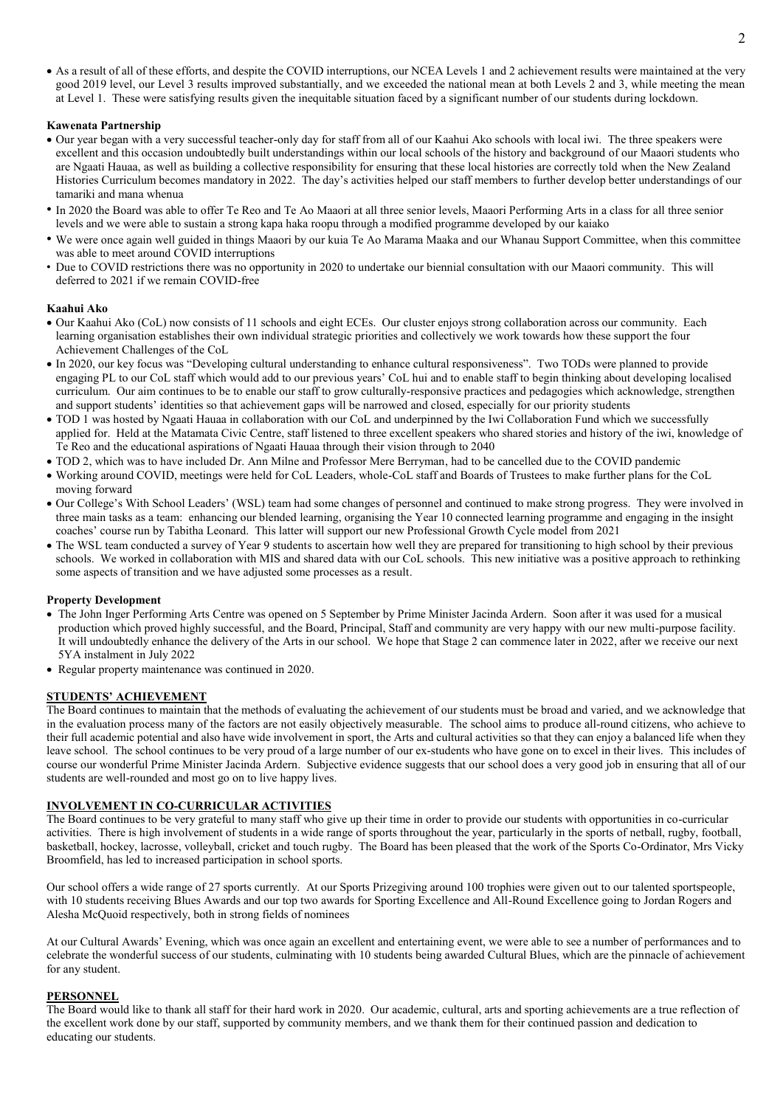As a result of all of these efforts, and despite the COVID interruptions, our NCEA Levels 1 and 2 achievement results were maintained at the very good 2019 level, our Level 3 results improved substantially, and we exceeded the national mean at both Levels 2 and 3, while meeting the mean at Level 1. These were satisfying results given the inequitable situation faced by a significant number of our students during lockdown.

# **Kawenata Partnership**

- Our year began with a very successful teacher-only day for staff from all of our Kaahui Ako schools with local iwi. The three speakers were excellent and this occasion undoubtedly built understandings within our local schools of the history and background of our Maaori students who are Ngaati Hauaa, as well as building a collective responsibility for ensuring that these local histories are correctly told when the New Zealand Histories Curriculum becomes mandatory in 2022. The day's activities helped our staff members to further develop better understandings of our tamariki and mana whenua
- In 2020 the Board was able to offer Te Reo and Te Ao Maaori at all three senior levels, Maaori Performing Arts in a class for all three senior levels and we were able to sustain a strong kapa haka roopu through a modified programme developed by our kaiako
- We were once again well guided in things Maaori by our kuia Te Ao Marama Maaka and our Whanau Support Committee, when this committee was able to meet around COVID interruptions
- Due to COVID restrictions there was no opportunity in 2020 to undertake our biennial consultation with our Maaori community. This will deferred to 2021 if we remain COVID-free

# **Kaahui Ako**

- Our Kaahui Ako (CoL) now consists of 11 schools and eight ECEs. Our cluster enjoys strong collaboration across our community. Each learning organisation establishes their own individual strategic priorities and collectively we work towards how these support the four Achievement Challenges of the CoL
- In 2020, our key focus was "Developing cultural understanding to enhance cultural responsiveness". Two TODs were planned to provide engaging PL to our CoL staff which would add to our previous years' CoL hui and to enable staff to begin thinking about developing localised curriculum. Our aim continues to be to enable our staff to grow culturally-responsive practices and pedagogies which acknowledge, strengthen and support students' identities so that achievement gaps will be narrowed and closed, especially for our priority students
- TOD 1 was hosted by Ngaati Hauaa in collaboration with our CoL and underpinned by the Iwi Collaboration Fund which we successfully applied for. Held at the Matamata Civic Centre, staff listened to three excellent speakers who shared stories and history of the iwi, knowledge of Te Reo and the educational aspirations of Ngaati Hauaa through their vision through to 2040
- TOD 2, which was to have included Dr. Ann Milne and Professor Mere Berryman, had to be cancelled due to the COVID pandemic
- Working around COVID, meetings were held for CoL Leaders, whole-CoL staff and Boards of Trustees to make further plans for the CoL moving forward
- Our College's With School Leaders' (WSL) team had some changes of personnel and continued to make strong progress. They were involved in three main tasks as a team: enhancing our blended learning, organising the Year 10 connected learning programme and engaging in the insight coaches' course run by Tabitha Leonard. This latter will support our new Professional Growth Cycle model from 2021
- The WSL team conducted a survey of Year 9 students to ascertain how well they are prepared for transitioning to high school by their previous schools. We worked in collaboration with MIS and shared data with our CoL schools. This new initiative was a positive approach to rethinking some aspects of transition and we have adjusted some processes as a result.

## **Property Development**

- The John Inger Performing Arts Centre was opened on 5 September by Prime Minister Jacinda Ardern. Soon after it was used for a musical production which proved highly successful, and the Board, Principal, Staff and community are very happy with our new multi-purpose facility. It will undoubtedly enhance the delivery of the Arts in our school. We hope that Stage 2 can commence later in 2022, after we receive our next 5YA instalment in July 2022
- Regular property maintenance was continued in 2020.

## **STUDENTS' ACHIEVEMENT**

The Board continues to maintain that the methods of evaluating the achievement of our students must be broad and varied, and we acknowledge that in the evaluation process many of the factors are not easily objectively measurable. The school aims to produce all-round citizens, who achieve to their full academic potential and also have wide involvement in sport, the Arts and cultural activities so that they can enjoy a balanced life when they leave school. The school continues to be very proud of a large number of our ex-students who have gone on to excel in their lives. This includes of course our wonderful Prime Minister Jacinda Ardern. Subjective evidence suggests that our school does a very good job in ensuring that all of our students are well-rounded and most go on to live happy lives.

# **INVOLVEMENT IN CO-CURRICULAR ACTIVITIES**

The Board continues to be very grateful to many staff who give up their time in order to provide our students with opportunities in co-curricular activities. There is high involvement of students in a wide range of sports throughout the year, particularly in the sports of netball, rugby, football, basketball, hockey, lacrosse, volleyball, cricket and touch rugby. The Board has been pleased that the work of the Sports Co-Ordinator, Mrs Vicky Broomfield, has led to increased participation in school sports.

Our school offers a wide range of 27 sports currently. At our Sports Prizegiving around 100 trophies were given out to our talented sportspeople, with 10 students receiving Blues Awards and our top two awards for Sporting Excellence and All-Round Excellence going to Jordan Rogers and Alesha McQuoid respectively, both in strong fields of nominees

At our Cultural Awards' Evening, which was once again an excellent and entertaining event, we were able to see a number of performances and to celebrate the wonderful success of our students, culminating with 10 students being awarded Cultural Blues, which are the pinnacle of achievement for any student.

## **PERSONNEL**

The Board would like to thank all staff for their hard work in 2020. Our academic, cultural, arts and sporting achievements are a true reflection of the excellent work done by our staff, supported by community members, and we thank them for their continued passion and dedication to educating our students.